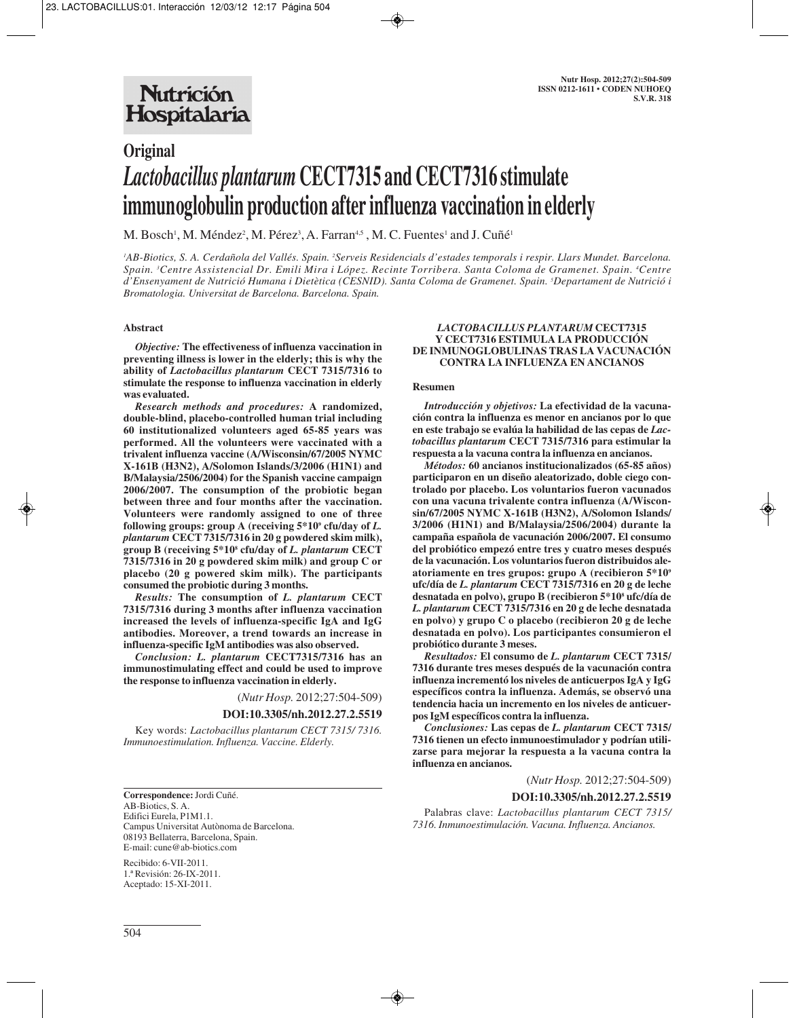## **Nutrición** Hospitalaria

# **Original** *Lactobacillus plantarum* **CECT7315 and CECT7316 stimulate immunoglobulin production after influenza vaccination in elderly**

M. Bosch!, M. Méndez², M. Pérez², A. Farran<sup>4,5</sup> , M. C. Fuentes' and J. Cuñé<sup>1</sup>

'AB-Biotics, S. A. Cerdañola del Vallés. Spain. <sup>2</sup>Serveis Residencials d'estades temporals i respir. Llars Mundet. Barcelona. *Spain. 3 Centre Assistencial Dr. Emili Mira i López. Recinte Torribera. Santa Coloma de Gramenet. Spain. 4 Centre d'Ensenyament de Nutrició Humana i Dietètica (CESNID). Santa Coloma de Gramenet. Spain. 5 Departament de Nutrició i Bromatologia. Universitat de Barcelona. Barcelona. Spain.*

#### **Abstract**

*Objective:* **The effectiveness of influenza vaccination in preventing illness is lower in the elderly; this is why the ability of** *Lactobacillus plantarum* **CECT 7315/7316 to stimulate the response to influenza vaccination in elderly was evaluated.**

*Research methods and procedures:* **A randomized, double-blind, placebo-controlled human trial including 60 institutionalized volunteers aged 65-85 years was performed. All the volunteers were vaccinated with a trivalent influenza vaccine (A/Wisconsin/67/2005 NYMC X-161B (H3N2), A/Solomon Islands/3/2006 (H1N1) and B/Malaysia/2506/2004) for the Spanish vaccine campaign 2006/2007. The consumption of the probiotic began between three and four months after the vaccination. Volunteers were randomly assigned to one of three following groups: group A (receiving 5\*109 cfu/day of** *L. plantarum* **CECT 7315/7316 in 20 g powdered skim milk), group B (receiving 5\*108 cfu/day of** *L. plantarum* **CECT 7315/7316 in 20 g powdered skim milk) and group C or placebo (20 g powered skim milk). The participants consumed the probiotic during 3 months.**

*Results:* **The consumption of** *L. plantarum* **CECT 7315/7316 during 3 months after influenza vaccination increased the levels of influenza-specific IgA and IgG antibodies. Moreover, a trend towards an increase in influenza-specific IgM antibodies was also observed.**

*Conclusion: L. plantarum* **CECT7315/7316 has an immunostimulating effect and could be used to improve the response to influenza vaccination in elderly.**

(*Nutr Hosp.* 2012;27:504-509)

#### **DOI:10.3305/nh.2012.27.2.5519**

Key words: *Lactobacillus plantarum CECT 7315/ 7316. Immunoestimulation. Influenza. Vaccine. Elderly.*

**Correspondence:** Jordi Cuñé. AB-Biotics, S. A. Edifici Eurela, P1M1.1. Campus Universitat Autònoma de Barcelona. 08193 Bellaterra, Barcelona, Spain. E-mail: cune@ab-biotics.com

Recibido: 6-VII-2011. 1.ª Revisión: 26-IX-2011. Aceptado: 15-XI-2011.

#### *LACTOBACILLUS PLANTARUM* **CECT7315 Y CECT7316 ESTIMULA LA PRODUCCIÓN DE INMUNOGLOBULINAS TRAS LA VACUNACIÓN CONTRA LA INFLUENZA EN ANCIANOS**

#### **Resumen**

*Introducción y objetivos:* **La efectividad de la vacunación contra la influenza es menor en ancianos por lo que en este trabajo se evalúa la habilidad de las cepas de** *Lactobacillus plantarum* **CECT 7315/7316 para estimular la respuesta a la vacuna contra la influenza en ancianos.**

*Métodos:* **60 ancianos institucionalizados (65-85 años) participaron en un diseño aleatorizado, doble ciego controlado por placebo. Los voluntarios fueron vacunados con una vacuna trivalente contra influenza (A/Wisconsin/67/2005 NYMC X-161B (H3N2), A/Solomon Islands/ 3/2006 (H1N1) and B/Malaysia/2506/2004) durante la campaña española de vacunación 2006/2007. El consumo del probiótico empezó entre tres y cuatro meses después de la vacunación. Los voluntarios fueron distribuidos aleatoriamente en tres grupos: grupo A (recibieron 5\*109 ufc/día de** *L. plantarum* **CECT 7315/7316 en 20 g de leche desnatada en polvo), grupo B (recibieron 5\*108 ufc/día de** *L. plantarum* **CECT 7315/7316 en 20 g de leche desnatada en polvo) y grupo C o placebo (recibieron 20 g de leche desnatada en polvo). Los participantes consumieron el probiótico durante 3 meses.**

*Resultados:* **El consumo de** *L. plantarum* **CECT 7315/ 7316 durante tres meses después de la vacunación contra influenza incrementó los niveles de anticuerpos IgA y IgG específicos contra la influenza. Además, se observó una tendencia hacia un incremento en los niveles de anticuerpos IgM específicos contra la influenza.**

*Conclusiones:* **Las cepas de** *L. plantarum* **CECT 7315/ 7316 tienen un efecto inmunoestimulador y podrían utilizarse para mejorar la respuesta a la vacuna contra la influenza en ancianos.**

(*Nutr Hosp.* 2012;27:504-509)

#### **DOI:10.3305/nh.2012.27.2.5519**

Palabras clave: *Lactobacillus plantarum CECT 7315/ 7316. Inmunoestimulación. Vacuna. Influenza. Ancianos.*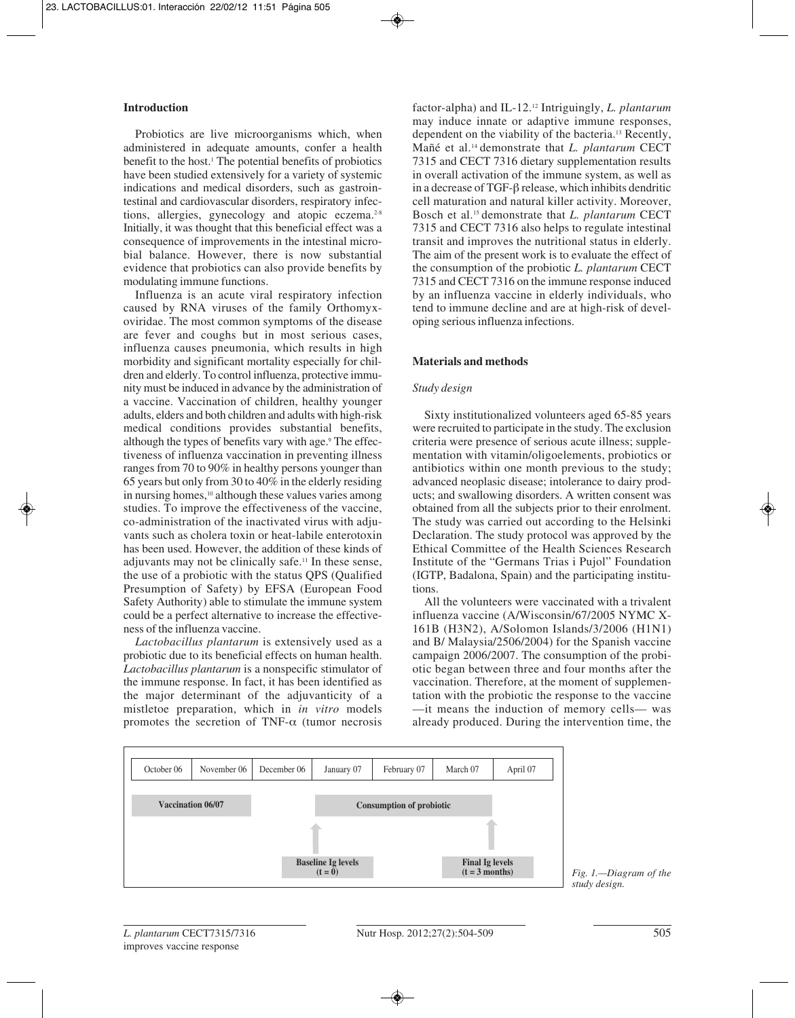### **Introduction**

Probiotics are live microorganisms which, when administered in adequate amounts, confer a health benefit to the host.<sup>1</sup> The potential benefits of probiotics have been studied extensively for a variety of systemic indications and medical disorders, such as gastrointestinal and cardiovascular disorders, respiratory infections, allergies, gynecology and atopic eczema.<sup>2-8</sup> Initially, it was thought that this beneficial effect was a consequence of improvements in the intestinal microbial balance. However, there is now substantial evidence that probiotics can also provide benefits by modulating immune functions.

Influenza is an acute viral respiratory infection caused by RNA viruses of the family Orthomyxoviridae. The most common symptoms of the disease are fever and coughs but in most serious cases, influenza causes pneumonia, which results in high morbidity and significant mortality especially for children and elderly. To control influenza, protective immunity must be induced in advance by the administration of a vaccine. Vaccination of children, healthy younger adults, elders and both children and adults with high-risk medical conditions provides substantial benefits, although the types of benefits vary with age.<sup>9</sup> The effectiveness of influenza vaccination in preventing illness ranges from 70 to 90% in healthy persons younger than 65 years but only from 30 to 40% in the elderly residing in nursing homes,<sup>10</sup> although these values varies among studies. To improve the effectiveness of the vaccine, co-administration of the inactivated virus with adjuvants such as cholera toxin or heat-labile enterotoxin has been used. However, the addition of these kinds of adjuvants may not be clinically safe.11 In these sense, the use of a probiotic with the status QPS (Qualified Presumption of Safety) by EFSA (European Food Safety Authority) able to stimulate the immune system could be a perfect alternative to increase the effectiveness of the influenza vaccine.

*Lactobacillus plantarum* is extensively used as a probiotic due to its beneficial effects on human health. *Lactobacillus plantarum* is a nonspecific stimulator of the immune response. In fact, it has been identified as the major determinant of the adjuvanticity of a mistletoe preparation, which in *in vitro* models promotes the secretion of TNF- $\alpha$  (tumor necrosis

factor-alpha) and IL-12.12 Intriguingly, *L. plantarum* may induce innate or adaptive immune responses, dependent on the viability of the bacteria.13 Recently, Mañé et al.14 demonstrate that *L. plantarum* CECT 7315 and CECT 7316 dietary supplementation results in overall activation of the immune system, as well as in a decrease of TGF-β release, which inhibits dendritic cell maturation and natural killer activity. Moreover, Bosch et al.15 demonstrate that *L. plantarum* CECT 7315 and CECT 7316 also helps to regulate intestinal transit and improves the nutritional status in elderly. The aim of the present work is to evaluate the effect of the consumption of the probiotic *L. plantarum* CECT 7315 and CECT 7316 on the immune response induced by an influenza vaccine in elderly individuals, who tend to immune decline and are at high-risk of developing serious influenza infections.

## **Materials and methods**

#### *Study design*

Sixty institutionalized volunteers aged 65-85 years were recruited to participate in the study. The exclusion criteria were presence of serious acute illness; supplementation with vitamin/oligoelements, probiotics or antibiotics within one month previous to the study; advanced neoplasic disease; intolerance to dairy products; and swallowing disorders. A written consent was obtained from all the subjects prior to their enrolment. The study was carried out according to the Helsinki Declaration. The study protocol was approved by the Ethical Committee of the Health Sciences Research Institute of the "Germans Trias i Pujol" Foundation (IGTP, Badalona, Spain) and the participating institutions.

All the volunteers were vaccinated with a trivalent influenza vaccine (A/Wisconsin/67/2005 NYMC X-161B (H3N2), A/Solomon Islands/3/2006 (H1N1) and B/ Malaysia/2506/2004) for the Spanish vaccine campaign 2006/2007. The consumption of the probiotic began between three and four months after the vaccination. Therefore, at the moment of supplementation with the probiotic the response to the vaccine —it means the induction of memory cells— was already produced. During the intervention time, the

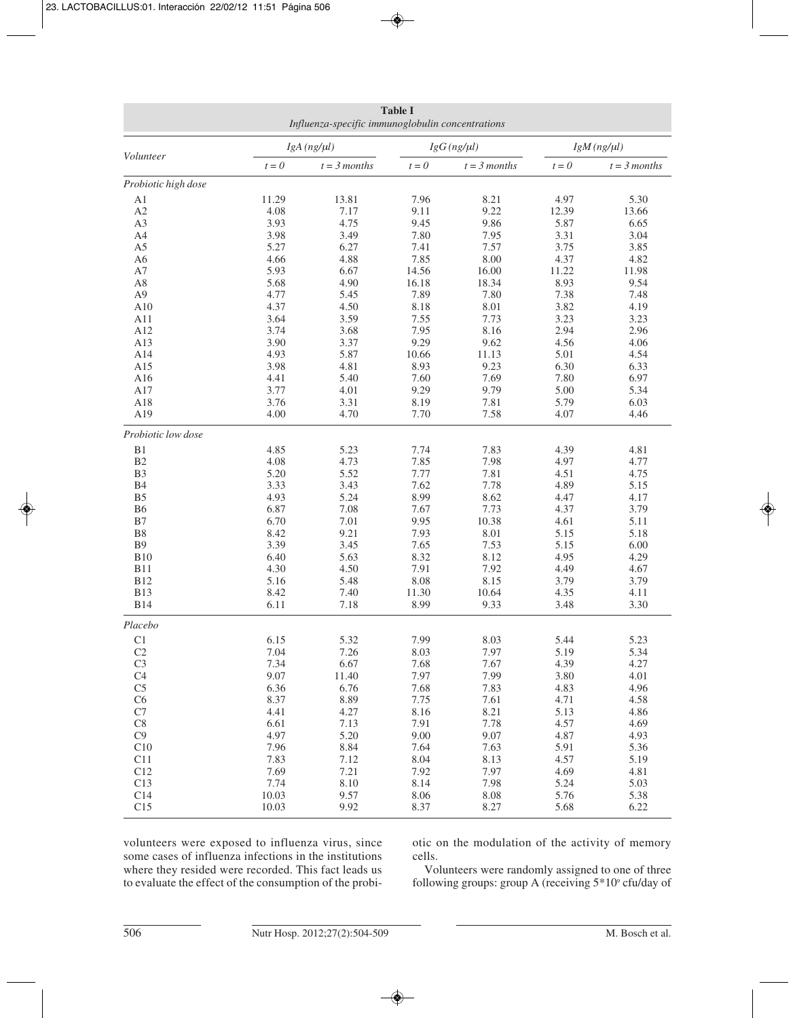| <b>Table I</b><br>Influenza-specific immunoglobulin concentrations |                     |                |                  |                |            |                |
|--------------------------------------------------------------------|---------------------|----------------|------------------|----------------|------------|----------------|
| Volunteer                                                          | $IgA$ (ng/ $\mu$ l) |                | $IgG(ng/ \mu l)$ |                | IgM(ng/µl) |                |
|                                                                    | $t = 0$             | $t = 3$ months | $t=0$            | $t = 3$ months | $t = 0$    | $t = 3$ months |
| Probiotic high dose                                                |                     |                |                  |                |            |                |
| A <sub>1</sub>                                                     | 11.29               | 13.81          | 7.96             | 8.21           | 4.97       | 5.30           |
| A2                                                                 | 4.08                | 7.17           | 9.11             | 9.22           | 12.39      | 13.66          |
| A3                                                                 | 3.93                | 4.75           | 9.45             | 9.86           | 5.87       | 6.65           |
| A4                                                                 | 3.98                | 3.49           | 7.80             | 7.95           | 3.31       | 3.04           |
| A <sub>5</sub>                                                     | 5.27                | 6.27           | 7.41             | 7.57           | 3.75       | 3.85           |
| A <sub>6</sub>                                                     | 4.66                | 4.88           | 7.85             | 8.00           | 4.37       | 4.82           |
| A7                                                                 | 5.93                | 6.67           | 14.56            | 16.00          | 11.22      | 11.98          |
| A8                                                                 | 5.68                | 4.90           | 16.18            | 18.34          | 8.93       | 9.54           |
| A <sub>9</sub>                                                     | 4.77                | 5.45           | 7.89             | 7.80           | 7.38       | 7.48           |
| A10                                                                | 4.37                | 4.50           | 8.18             | 8.01           | 3.82       | 4.19           |
| A11                                                                | 3.64                | 3.59           | 7.55             | 7.73           | 3.23       | 3.23           |
| A12                                                                | 3.74                | 3.68           | 7.95             | 8.16           | 2.94       | 2.96           |
| A13                                                                | 3.90                | 3.37           | 9.29             | 9.62           | 4.56       | 4.06           |
| A14                                                                | 4.93                | 5.87           | 10.66            | 11.13          | 5.01       | 4.54           |
| A15                                                                | 3.98                | 4.81           | 8.93             | 9.23           | 6.30       | 6.33           |
| A16                                                                | 4.41                | 5.40           | 7.60             | 7.69           | 7.80       | 6.97           |
| A17                                                                | 3.77                | 4.01           | 9.29             | 9.79           | 5.00       | 5.34           |
| A18                                                                | 3.76                | 3.31           | 8.19             | 7.81           | 5.79       | 6.03           |
| A19                                                                | 4.00                | 4.70           | 7.70             | 7.58           | 4.07       | 4.46           |
| Probiotic low dose                                                 |                     |                |                  |                |            |                |
| B1                                                                 | 4.85                | 5.23           | 7.74             | 7.83           | 4.39       | 4.81           |
| B <sub>2</sub>                                                     | 4.08                | 4.73           | 7.85             | 7.98           | 4.97       | 4.77           |
| B <sub>3</sub>                                                     | 5.20                | 5.52           | 7.77             | 7.81           | 4.51       | 4.75           |
| B <sub>4</sub>                                                     | 3.33                | 3.43           | 7.62             | 7.78           | 4.89       | 5.15           |
| B <sub>5</sub>                                                     | 4.93                | 5.24           | 8.99             | 8.62           | 4.47       | 4.17           |
| B <sub>6</sub>                                                     | 6.87                | 7.08           | 7.67             | 7.73           | 4.37       | 3.79           |
| B7                                                                 | 6.70                | 7.01           | 9.95             | 10.38          | 4.61       | 5.11           |
| B <sub>8</sub>                                                     | 8.42                | 9.21           | 7.93             | 8.01           | 5.15       | 5.18           |
| B <sub>9</sub>                                                     | 3.39                | 3.45           | 7.65             | 7.53           | 5.15       | 6.00           |
| <b>B10</b>                                                         | 6.40                | 5.63           | 8.32             | 8.12           | 4.95       | 4.29           |
| <b>B11</b>                                                         | 4.30                | 4.50           | 7.91             | 7.92           | 4.49       | 4.67           |
| <b>B12</b>                                                         | 5.16                | 5.48           | 8.08             | 8.15           | 3.79       | 3.79           |
| <b>B13</b>                                                         | 8.42                | 7.40           | 11.30            | 10.64          | 4.35       | 4.11           |
| <b>B14</b>                                                         | 6.11                | 7.18           | 8.99             | 9.33           | 3.48       | 3.30           |
| Placebo                                                            |                     |                |                  |                |            |                |
| C1                                                                 | 6.15                | 5.32           | 7.99             | 8.03           | 5.44       | 5.23           |
| C <sub>2</sub>                                                     | 7.04                | 7.26           | 8.03             | 7.97           | 5.19       | 5.34           |
| C <sub>3</sub>                                                     | 7.34                | 6.67           | 7.68             | 7.67           | 4.39       | 4.27           |
| C <sub>4</sub>                                                     | 9.07                | 11.40          | 7.97             | 7.99           | 3.80       | 4.01           |
| C <sub>5</sub>                                                     | 6.36                | 6.76           | 7.68             | 7.83           | 4.83       | 4.96           |
| C <sub>6</sub>                                                     | 8.37                | 8.89           | 7.75             | 7.61           | 4.71       | 4.58           |
| C7                                                                 | 4.41                | 4.27           | 8.16             | 8.21           | 5.13       | 4.86           |
| C8                                                                 | 6.61                | 7.13           | 7.91             | 7.78           | 4.57       | 4.69           |
| C9                                                                 | 4.97                | 5.20           | 9.00             | 9.07           | 4.87       | 4.93           |
| C10                                                                | 7.96                | 8.84           | 7.64             | 7.63           | 5.91       | 5.36           |
| C11                                                                | 7.83                | 7.12           | 8.04             | 8.13           | 4.57       | 5.19           |
| C12                                                                | 7.69                | 7.21           | 7.92             | 7.97           | 4.69       | 4.81           |
| C13                                                                | 7.74                | 8.10           | 8.14             | 7.98           | 5.24       | 5.03           |
| C14                                                                | 10.03               | 9.57           | 8.06             | 8.08           | 5.76       | 5.38           |
| C15                                                                | 10.03               | 9.92           | 8.37             | 8.27           | 5.68       | 6.22           |

volunteers were exposed to influenza virus, since some cases of influenza infections in the institutions where they resided were recorded. This fact leads us to evaluate the effect of the consumption of the probiotic on the modulation of the activity of memory cells.

Volunteers were randomly assigned to one of three following groups: group A (receiving  $5*10^{\circ}$  cfu/day of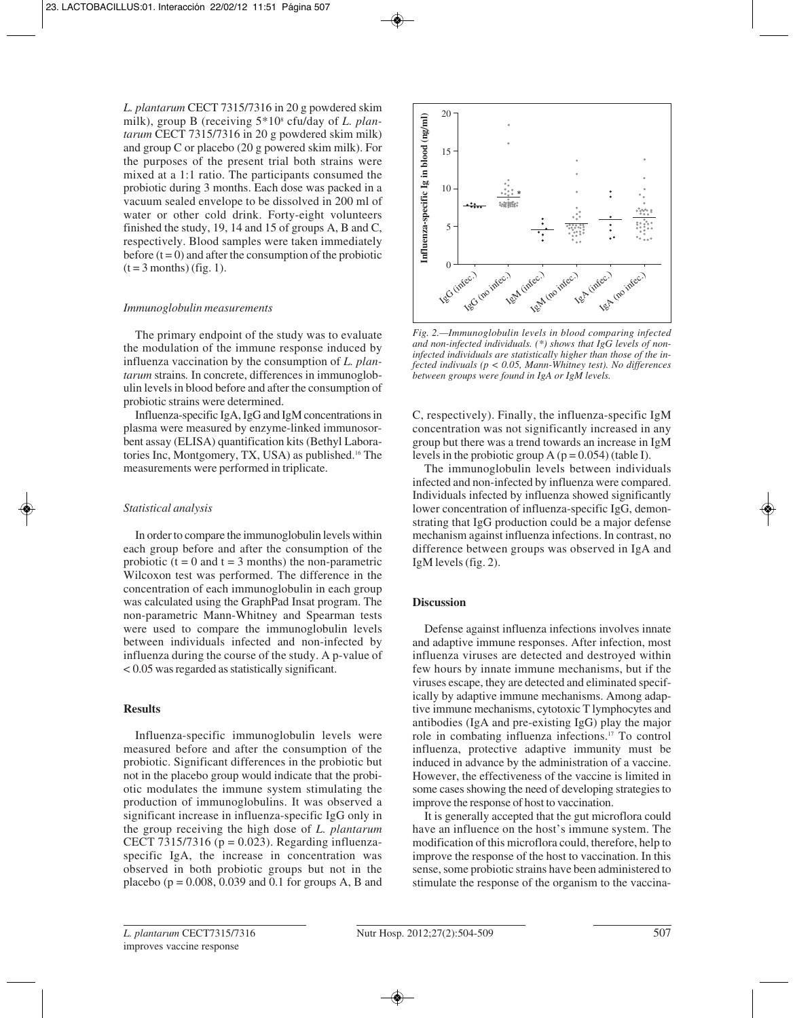*L. plantarum* CECT 7315/7316 in 20 g powdered skim milk), group B (receiving 5\*108 cfu/day of *L. plantarum* CECT 7315/7316 in 20 g powdered skim milk) and group C or placebo (20 g powered skim milk). For the purposes of the present trial both strains were mixed at a 1:1 ratio. The participants consumed the probiotic during 3 months. Each dose was packed in a vacuum sealed envelope to be dissolved in 200 ml of water or other cold drink. Forty-eight volunteers finished the study, 19, 14 and 15 of groups A, B and C, respectively. Blood samples were taken immediately before  $(t = 0)$  and after the consumption of the probiotic  $(t = 3$  months) (fig. 1).

#### *Immunoglobulin measurements*

The primary endpoint of the study was to evaluate the modulation of the immune response induced by influenza vaccination by the consumption of *L. plantarum* strains*.* In concrete, differences in immunoglobulin levels in blood before and after the consumption of probiotic strains were determined.

Influenza-specific IgA, IgG and IgM concentrations in plasma were measured by enzyme-linked immunosorbent assay (ELISA) quantification kits (Bethyl Laboratories Inc, Montgomery, TX, USA) as published.16 The measurements were performed in triplicate.

#### *Statistical analysis*

In order to compare the immunoglobulin levels within each group before and after the consumption of the probiotic ( $t = 0$  and  $t = 3$  months) the non-parametric Wilcoxon test was performed. The difference in the concentration of each immunoglobulin in each group was calculated using the GraphPad Insat program. The non-parametric Mann-Whitney and Spearman tests were used to compare the immunoglobulin levels between individuals infected and non-infected by influenza during the course of the study. A p-value of < 0.05 was regarded as statistically significant.

#### **Results**

Influenza-specific immunoglobulin levels were measured before and after the consumption of the probiotic. Significant differences in the probiotic but not in the placebo group would indicate that the probiotic modulates the immune system stimulating the production of immunoglobulins. It was observed a significant increase in influenza-specific IgG only in the group receiving the high dose of *L. plantarum* CECT 7315/7316 ( $p = 0.023$ ). Regarding influenzaspecific IgA, the increase in concentration was observed in both probiotic groups but not in the placebo ( $p = 0.008$ , 0.039 and 0.1 for groups A, B and



*Fig. 2.—Immunoglobulin levels in blood comparing infected and non-infected individuals. (\*) shows that IgG levels of noninfected individuals are statistically higher than those of the infected indivuals (p < 0.05, Mann-Whitney test). No differences between groups were found in IgA or IgM levels.*

C, respectively). Finally, the influenza-specific IgM concentration was not significantly increased in any group but there was a trend towards an increase in IgM levels in the probiotic group A ( $p = 0.054$ ) (table I).

The immunoglobulin levels between individuals infected and non-infected by influenza were compared. Individuals infected by influenza showed significantly lower concentration of influenza-specific IgG, demonstrating that IgG production could be a major defense mechanism against influenza infections. In contrast, no difference between groups was observed in IgA and IgM levels (fig. 2).

#### **Discussion**

Defense against influenza infections involves innate and adaptive immune responses. After infection, most influenza viruses are detected and destroyed within few hours by innate immune mechanisms, but if the viruses escape, they are detected and eliminated specifically by adaptive immune mechanisms. Among adaptive immune mechanisms, cytotoxic T lymphocytes and antibodies (IgA and pre-existing IgG) play the major role in combating influenza infections.17 To control influenza, protective adaptive immunity must be induced in advance by the administration of a vaccine. However, the effectiveness of the vaccine is limited in some cases showing the need of developing strategies to improve the response of host to vaccination.

It is generally accepted that the gut microflora could have an influence on the host's immune system. The modification of this microflora could, therefore, help to improve the response of the host to vaccination. In this sense, some probiotic strains have been administered to stimulate the response of the organism to the vaccina-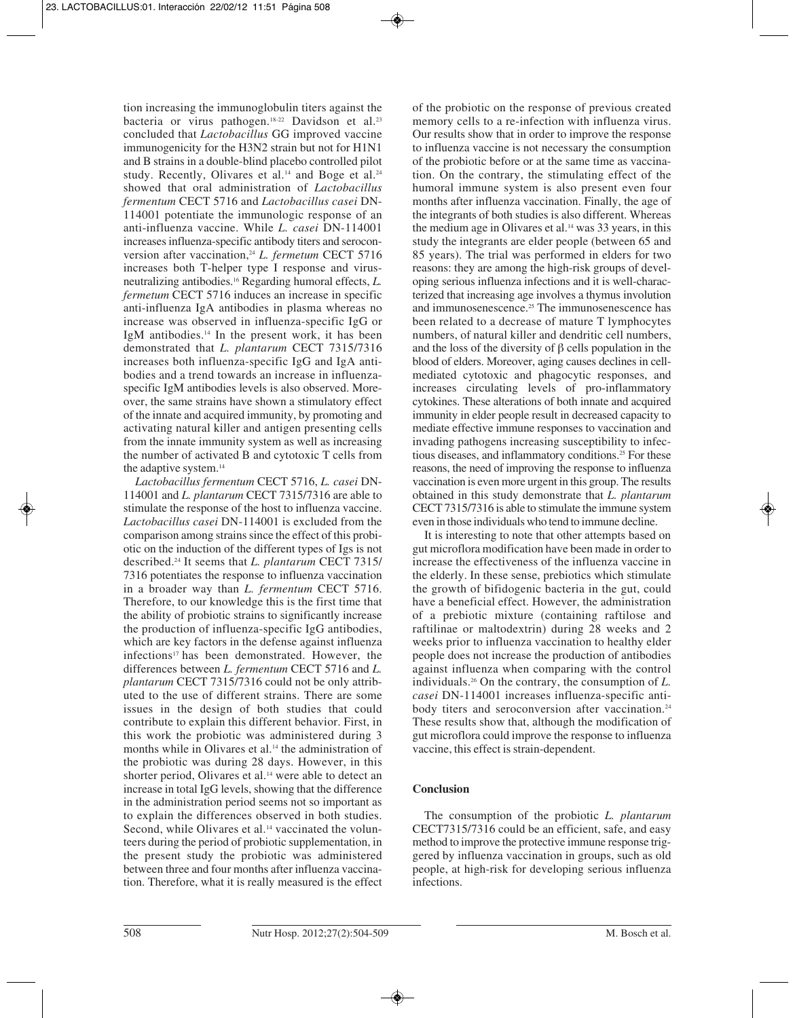tion increasing the immunoglobulin titers against the bacteria or virus pathogen.<sup>18-22</sup> Davidson et al.<sup>23</sup> concluded that *Lactobacillus* GG improved vaccine immunogenicity for the H3N2 strain but not for H1N1 and B strains in a double-blind placebo controlled pilot study. Recently, Olivares et al.<sup>14</sup> and Boge et al.<sup>24</sup> showed that oral administration of *Lactobacillus fermentum* CECT 5716 and *Lactobacillus casei* DN-114001 potentiate the immunologic response of an anti-influenza vaccine. While *L. casei* DN-114001 increases influenza-specific antibody titers and seroconversion after vaccination,<sup>24</sup> *L. fermetum* CECT 5716 increases both T-helper type I response and virusneutralizing antibodies.16 Regarding humoral effects, *L. fermetum* CECT 5716 induces an increase in specific anti-influenza IgA antibodies in plasma whereas no increase was observed in influenza-specific IgG or IgM antibodies.14 In the present work, it has been demonstrated that *L. plantarum* CECT 7315/7316 increases both influenza-specific IgG and IgA antibodies and a trend towards an increase in influenzaspecific IgM antibodies levels is also observed. Moreover, the same strains have shown a stimulatory effect of the innate and acquired immunity, by promoting and activating natural killer and antigen presenting cells from the innate immunity system as well as increasing the number of activated B and cytotoxic T cells from the adaptive system.14

*Lactobacillus fermentum* CECT 5716, *L. casei* DN-114001 and *L. plantarum* CECT 7315/7316 are able to stimulate the response of the host to influenza vaccine. *Lactobacillus casei* DN-114001 is excluded from the comparison among strains since the effect of this probiotic on the induction of the different types of Igs is not described.24 It seems that *L. plantarum* CECT 7315/ 7316 potentiates the response to influenza vaccination in a broader way than *L. fermentum* CECT 5716. Therefore, to our knowledge this is the first time that the ability of probiotic strains to significantly increase the production of influenza-specific IgG antibodies, which are key factors in the defense against influenza infections<sup>17</sup> has been demonstrated. However, the differences between *L. fermentum* CECT 5716 and *L. plantarum* CECT 7315/7316 could not be only attributed to the use of different strains. There are some issues in the design of both studies that could contribute to explain this different behavior. First, in this work the probiotic was administered during 3 months while in Olivares et al.<sup>14</sup> the administration of the probiotic was during 28 days. However, in this shorter period, Olivares et al.<sup>14</sup> were able to detect an increase in total IgG levels, showing that the difference in the administration period seems not so important as to explain the differences observed in both studies. Second, while Olivares et al.<sup>14</sup> vaccinated the volunteers during the period of probiotic supplementation, in the present study the probiotic was administered between three and four months after influenza vaccination. Therefore, what it is really measured is the effect

of the probiotic on the response of previous created memory cells to a re-infection with influenza virus. Our results show that in order to improve the response to influenza vaccine is not necessary the consumption of the probiotic before or at the same time as vaccination. On the contrary, the stimulating effect of the humoral immune system is also present even four months after influenza vaccination. Finally, the age of the integrants of both studies is also different. Whereas the medium age in Olivares et al.14 was 33 years, in this study the integrants are elder people (between 65 and 85 years). The trial was performed in elders for two reasons: they are among the high-risk groups of developing serious influenza infections and it is well-characterized that increasing age involves a thymus involution and immunosenescence.<sup>25</sup> The immunosenescence has been related to a decrease of mature T lymphocytes numbers, of natural killer and dendritic cell numbers, and the loss of the diversity of β cells population in the blood of elders. Moreover, aging causes declines in cellmediated cytotoxic and phagocytic responses, and increases circulating levels of pro-inflammatory cytokines. These alterations of both innate and acquired immunity in elder people result in decreased capacity to mediate effective immune responses to vaccination and invading pathogens increasing susceptibility to infectious diseases, and inflammatory conditions.25 For these reasons, the need of improving the response to influenza vaccination is even more urgent in this group. The results obtained in this study demonstrate that *L. plantarum* CECT 7315/7316 is able to stimulate the immune system even in those individuals who tend to immune decline.

It is interesting to note that other attempts based on gut microflora modification have been made in order to increase the effectiveness of the influenza vaccine in the elderly. In these sense, prebiotics which stimulate the growth of bifidogenic bacteria in the gut, could have a beneficial effect. However, the administration of a prebiotic mixture (containing raftilose and raftilinae or maltodextrin) during 28 weeks and 2 weeks prior to influenza vaccination to healthy elder people does not increase the production of antibodies against influenza when comparing with the control individuals.26 On the contrary, the consumption of *L. casei* DN-114001 increases influenza-specific antibody titers and seroconversion after vaccination.<sup>24</sup> These results show that, although the modification of gut microflora could improve the response to influenza vaccine, this effect is strain-dependent.

## **Conclusion**

The consumption of the probiotic *L. plantarum* CECT7315/7316 could be an efficient, safe, and easy method to improve the protective immune response triggered by influenza vaccination in groups, such as old people, at high-risk for developing serious influenza infections.